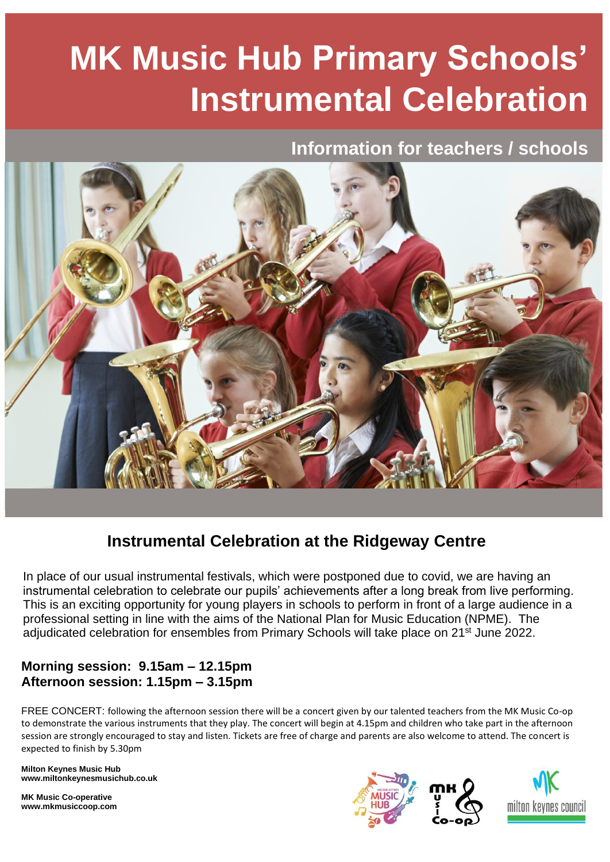# **MK Music Hub Primary Schools' Instrumental Celebration**

## **Information for teachers / schools**



## **Instrumental Celebration at the Ridgeway Centre**

In place of our usual instrumental festivals, which were postponed due to covid, we are having an instrumental celebration to celebrate our pupils' achievements after a long break from live performing. This is an exciting opportunity for young players in schools to perform in front of a large audience in a professional setting in line with the aims of the National Plan for Music Education (NPME). The adjudicated celebration for ensembles from Primary Schools will take place on 21<sup>st</sup> June 2022.

### **Morning session: 9.15am – 12.15pm Afternoon session: 1.15pm – 3.15pm**

FREE CONCERT: following the afternoon session there will be a concert given by our talented teachers from the MK Music Co-op to demonstrate the various instruments that they play. The concert will begin at 4.15pm and children who take part in the afternoon session are strongly encouraged to stay and listen. Tickets are free of charge and parents are also welcome to attend. The concert is expected to finish by 5.30pm

**Milton Keynes Music Hub www.miltonkeynesmusichub.co.uk**

**MK Music Co-operative www.mkmusiccoop.com**

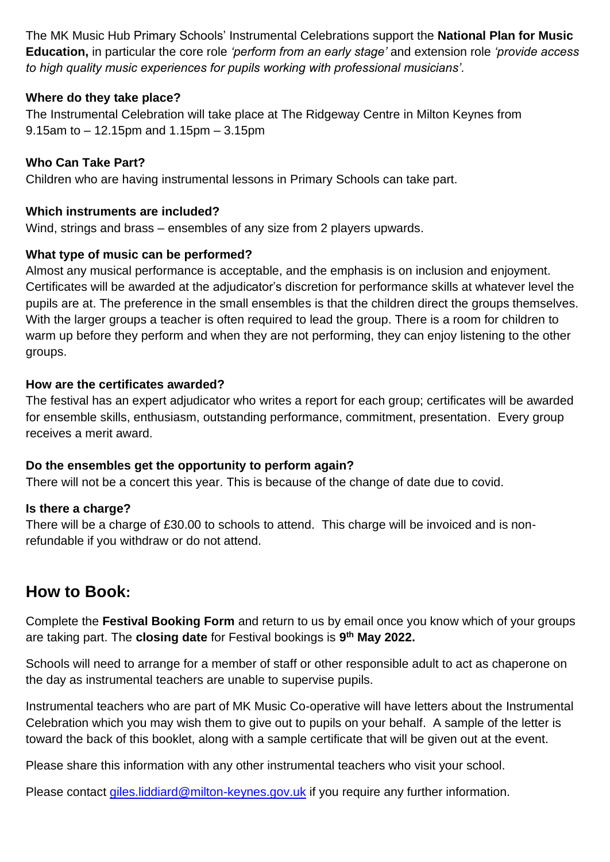The MK Music Hub Primary Schools' Instrumental Celebrations support the **National Plan for Music Education,** in particular the core role *'perform from an early stage'* and extension role *'provide access to high quality music experiences for pupils working with professional musicians'.*

#### **Where do they take place?**

The Instrumental Celebration will take place at The Ridgeway Centre in Milton Keynes from 9.15am to – 12.15pm and 1.15pm – 3.15pm

#### **Who Can Take Part?**

Children who are having instrumental lessons in Primary Schools can take part.

#### **Which instruments are included?**

Wind, strings and brass – ensembles of any size from 2 players upwards.

#### **What type of music can be performed?**

Almost any musical performance is acceptable, and the emphasis is on inclusion and enjoyment. Certificates will be awarded at the adjudicator's discretion for performance skills at whatever level the pupils are at. The preference in the small ensembles is that the children direct the groups themselves. With the larger groups a teacher is often required to lead the group. There is a room for children to warm up before they perform and when they are not performing, they can enjoy listening to the other groups.

#### **How are the certificates awarded?**

The festival has an expert adjudicator who writes a report for each group; certificates will be awarded for ensemble skills, enthusiasm, outstanding performance, commitment, presentation. Every group receives a merit award.

#### **Do the ensembles get the opportunity to perform again?**

There will not be a concert this year. This is because of the change of date due to covid.

#### **Is there a charge?**

There will be a charge of £30.00 to schools to attend. This charge will be invoiced and is nonrefundable if you withdraw or do not attend.

## **How to Book:**

Complete the **Festival Booking Form** and return to us by email once you know which of your groups are taking part. The **closing date** for Festival bookings is **9 th May 2022.**

Schools will need to arrange for a member of staff or other responsible adult to act as chaperone on the day as instrumental teachers are unable to supervise pupils.

Instrumental teachers who are part of MK Music Co-operative will have letters about the Instrumental Celebration which you may wish them to give out to pupils on your behalf. A sample of the letter is toward the back of this booklet, along with a sample certificate that will be given out at the event.

Please share this information with any other instrumental teachers who visit your school.

Please contact [giles.liddiard@milton-keynes.gov.uk](mailto:giles.liddiard@milton-keynes.gov.uk) if you require any further information.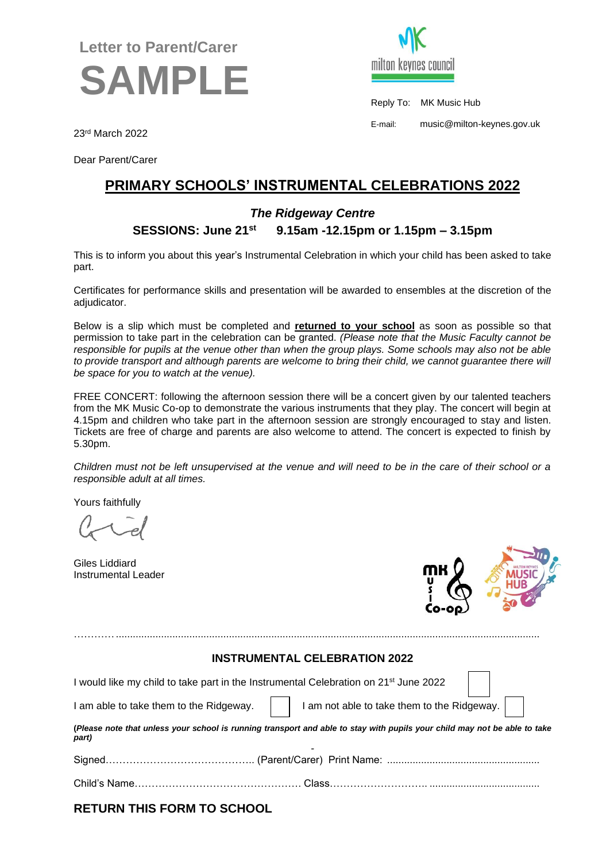## **Letter to Parent/Carer SAMPLE**



Reply To: MK Music Hub

E-mail: music@milton-keynes.gov.uk

23rd March 2022

Dear Parent/Carer

### **PRIMARY SCHOOLS' INSTRUMENTAL CELEBRATIONS 2022**

#### *The Ridgeway Centre*

#### **SESSIONS: June 21st 9.15am -12.15pm or 1.15pm – 3.15pm**

This is to inform you about this year's Instrumental Celebration in which your child has been asked to take part.

Certificates for performance skills and presentation will be awarded to ensembles at the discretion of the adjudicator.

Below is a slip which must be completed and **returned to your school** as soon as possible so that permission to take part in the celebration can be granted. *(Please note that the Music Faculty cannot be responsible for pupils at the venue other than when the group plays. Some schools may also not be able to provide transport and although parents are welcome to bring their child, we cannot guarantee there will be space for you to watch at the venue).*

FREE CONCERT: following the afternoon session there will be a concert given by our talented teachers from the MK Music Co-op to demonstrate the various instruments that they play. The concert will begin at 4.15pm and children who take part in the afternoon session are strongly encouraged to stay and listen. Tickets are free of charge and parents are also welcome to attend. The concert is expected to finish by 5.30pm.

*Children must not be left unsupervised at the venue and will need to be in the care of their school or a responsible adult at all times.*

Yours faithfully

Giles Liddiard Instrumental Leader



#### **INSTRUMENTAL CELEBRATION 2022**

…………......................................................................................................................................................

| I would like my child to take part in the Instrumental Celebration on 21 <sup>st</sup> June 2022                                   |                                                                                                   |  |  |  |  |  |
|------------------------------------------------------------------------------------------------------------------------------------|---------------------------------------------------------------------------------------------------|--|--|--|--|--|
|                                                                                                                                    | I am able to take them to the Ridgeway. $\Box$ I am not able to take them to the Ridgeway. $\Box$ |  |  |  |  |  |
| (Please note that unless your school is running transport and able to stay with pupils your child may not be able to take<br>part) |                                                                                                   |  |  |  |  |  |
|                                                                                                                                    |                                                                                                   |  |  |  |  |  |
|                                                                                                                                    |                                                                                                   |  |  |  |  |  |
|                                                                                                                                    |                                                                                                   |  |  |  |  |  |

**RETURN THIS FORM TO SCHOOL**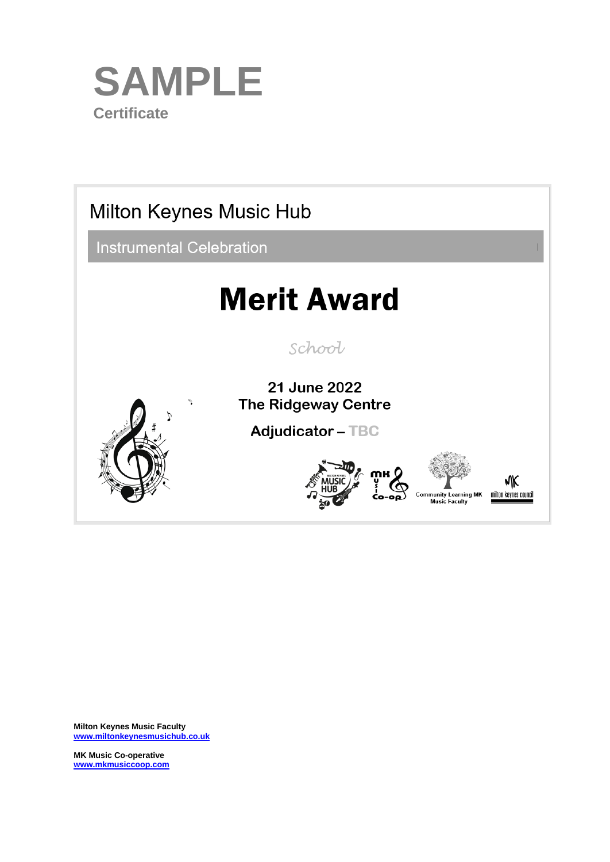



**Milton Keynes Music Faculty [www.miltonkeynesmusichub.co.uk](http://www.miltonkeynesmusichub.co.uk/)**

**MK Music Co-operative [www.mkmusiccoop.com](http://www.mkmusiccoop.com/)**